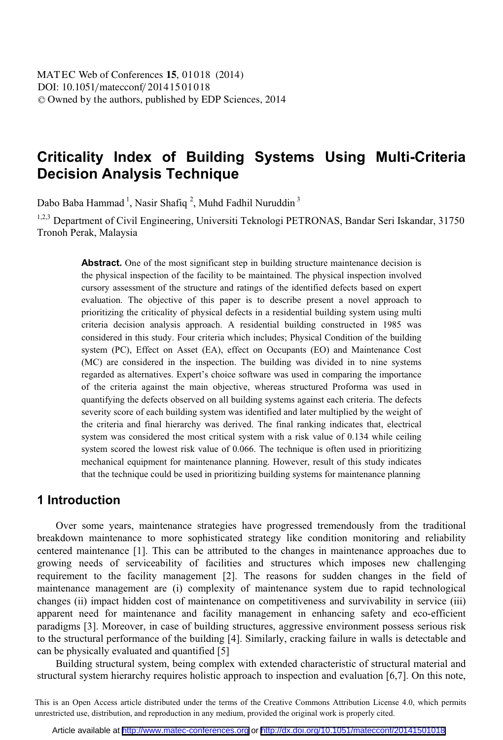# **Criticality Index of Building Systems Using Multi-Criteria Decision Analysis Technique**

Dabo Baba Hammad<sup>1</sup>, Nasir Shafiq<sup>2</sup>, Muhd Fadhil Nuruddin<sup>3</sup>

<sup>1,2,3</sup> Department of Civil Engineering, Universiti Teknologi PETRONAS, Bandar Seri Iskandar, 31750 Tronoh Perak, Malaysia

> Abstract. One of the most significant step in building structure maintenance decision is the physical inspection of the facility to be maintained. The physical inspection involved cursory assessment of the structure and ratings of the identified defects based on expert evaluation. The objective of this paper is to describe present a novel approach to prioritizing the criticality of physical defects in a residential building system using multi criteria decision analysis approach. A residential building constructed in 1985 was considered in this study. Four criteria which includes; Physical Condition of the building system (PC), Effect on Asset (EA), effect on Occupants (EO) and Maintenance Cost (MC) are considered in the inspection. The building was divided in to nine systems regarded as alternatives. Expert's choice software was used in comparing the importance of the criteria against the main objective, whereas structured Proforma was used in quantifying the defects observed on all building systems against each criteria. The defects severity score of each building system was identified and later multiplied by the weight of the criteria and final hierarchy was derived. The final ranking indicates that, electrical system was considered the most critical system with a risk value of 0.134 while ceiling system scored the lowest risk value of 0.066. The technique is often used in prioritizing mechanical equipment for maintenance planning. However, result of this study indicates that the technique could be used in prioritizing building systems for maintenance planning

### **1 Introduction**

Over some years, maintenance strategies have progressed tremendously from the traditional breakdown maintenance to more sophisticated strategy like condition monitoring and reliability centered maintenance [1]. This can be attributed to the changes in maintenance approaches due to growing needs of serviceability of facilities and structures which imposes new challenging requirement to the facility management [2]. The reasons for sudden changes in the field of maintenance management are (i) complexity of maintenance system due to rapid technological changes (ii) impact hidden cost of maintenance on competitiveness and survivability in service (iii) apparent need for maintenance and facility management in enhancing safety and eco-efficient paradigms [3]. Moreover, in case of building structures, aggressive environment possess serious risk to the structural performance of the building [4]. Similarly, cracking failure in walls is detectable and can be physically evaluated and quantified [5]

Building structural system, being complex with extended characteristic of structural material and structural system hierarchy requires holistic approach to inspection and evaluation [6,7]. On this note,

This is an Open Access article distributed under the terms of the Creative Commons Attribution License 4.0, which permits unrestricted use, distribution, and reproduction in any medium, provided the original work is properly cited.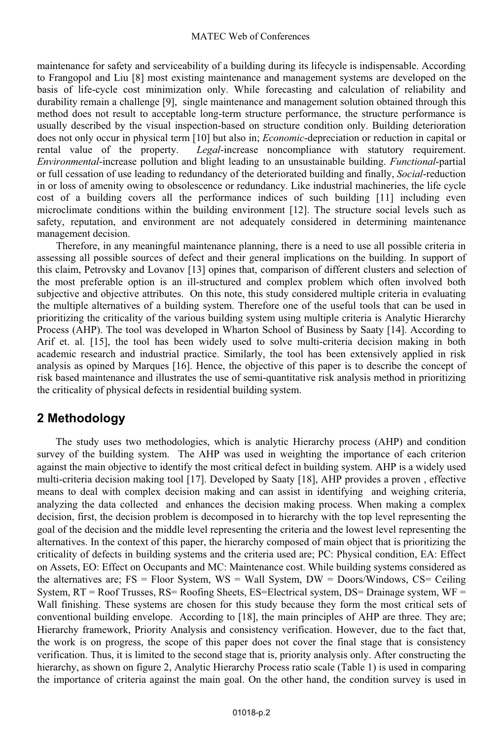maintenance for safety and serviceability of a building during its lifecycle is indispensable. According to Frangopol and Liu [8] most existing maintenance and management systems are developed on the basis of life-cycle cost minimization only. While forecasting and calculation of reliability and durability remain a challenge [9], single maintenance and management solution obtained through this method does not result to acceptable long-term structure performance, the structure performance is usually described by the visual inspection-based on structure condition only. Building deterioration does not only occur in physical term [10] but also in; *Economic*-depreciation or reduction in capital or rental value of the property. Legal-increase noncompliance with statutory requirement. rental value of the property. *Legal*-increase noncompliance with statutory requirement. *Environmental*-increase pollution and blight leading to an unsustainable building. *Functional*-partial or full cessation of use leading to redundancy of the deteriorated building and finally, *Social*-reduction in or loss of amenity owing to obsolescence or redundancy. Like industrial machineries, the life cycle cost of a building covers all the performance indices of such building [11] including even microclimate conditions within the building environment [12]. The structure social levels such as safety, reputation, and environment are not adequately considered in determining maintenance management decision.

 Therefore, in any meaningful maintenance planning, there is a need to use all possible criteria in assessing all possible sources of defect and their general implications on the building. In support of this claim, Petrovsky and Lovanov [13] opines that, comparison of different clusters and selection of the most preferable option is an ill-structured and complex problem which often involved both subjective and objective attributes. On this note, this study considered multiple criteria in evaluating the multiple alternatives of a building system. Therefore one of the useful tools that can be used in prioritizing the criticality of the various building system using multiple criteria is Analytic Hierarchy Process (AHP). The tool was developed in Wharton School of Business by Saaty [14]. According to Arif et. al. [15], the tool has been widely used to solve multi-criteria decision making in both academic research and industrial practice. Similarly, the tool has been extensively applied in risk analysis as opined by Marques [16]. Hence, the objective of this paper is to describe the concept of risk based maintenance and illustrates the use of semi-quantitative risk analysis method in prioritizing the criticality of physical defects in residential building system.

## **2 Methodology**

The study uses two methodologies, which is analytic Hierarchy process (AHP) and condition survey of the building system. The AHP was used in weighting the importance of each criterion against the main objective to identify the most critical defect in building system. AHP is a widely used multi-criteria decision making tool [17]. Developed by Saaty [18], AHP provides a proven , effective means to deal with complex decision making and can assist in identifying and weighing criteria, analyzing the data collected and enhances the decision making process. When making a complex decision, first, the decision problem is decomposed in to hierarchy with the top level representing the goal of the decision and the middle level representing the criteria and the lowest level representing the alternatives. In the context of this paper, the hierarchy composed of main object that is prioritizing the criticality of defects in building systems and the criteria used are; PC: Physical condition, EA: Effect on Assets, EO: Effect on Occupants and MC: Maintenance cost. While building systems considered as the alternatives are;  $FS = Floor System$ ,  $WS = Wall System$ ,  $DW = Doors/Windows$ ,  $CS = Ceiling$ System,  $RT = Root$  Trusses,  $RS = R$  Roofing Sheets,  $ES = Electrical$  system,  $DS = Drainage$  system,  $WF =$ Wall finishing. These systems are chosen for this study because they form the most critical sets of conventional building envelope. According to [18], the main principles of AHP are three. They are; Hierarchy framework, Priority Analysis and consistency verification. However, due to the fact that, the work is on progress, the scope of this paper does not cover the final stage that is consistency verification. Thus, it is limited to the second stage that is, priority analysis only. After constructing the hierarchy, as shown on figure 2, Analytic Hierarchy Process ratio scale (Table 1) is used in comparing the importance of criteria against the main goal. On the other hand, the condition survey is used in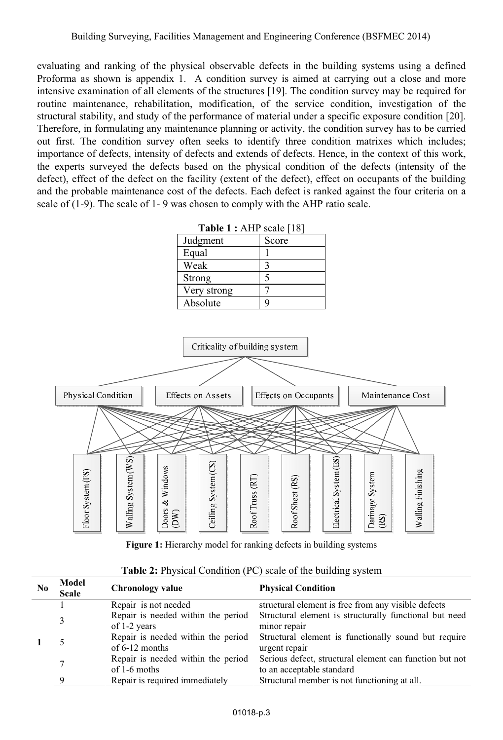evaluating and ranking of the physical observable defects in the building systems using a defined Proforma as shown is appendix 1. A condition survey is aimed at carrying out a close and more intensive examination of all elements of the structures [19]. The condition survey may be required for routine maintenance, rehabilitation, modification, of the service condition, investigation of the structural stability, and study of the performance of material under a specific exposure condition [20]. Therefore, in formulating any maintenance planning or activity, the condition survey has to be carried out first. The condition survey often seeks to identify three condition matrixes which includes; importance of defects, intensity of defects and extends of defects. Hence, in the context of this work, the experts surveyed the defects based on the physical condition of the defects (intensity of the defect), effect of the defect on the facility (extent of the defect), effect on occupants of the building and the probable maintenance cost of the defects. Each defect is ranked against the four criteria on a scale of (1-9). The scale of 1- 9 was chosen to comply with the AHP ratio scale.

| Judgment    | Score |
|-------------|-------|
| Equal       |       |
| Weak        |       |
| Strong      |       |
| Very strong |       |
| Absolute    |       |

**Table 1 :** AHP scale [18]



**Figure 1:** Hierarchy model for ranking defects in building systems

| N <sub>0</sub> | Model<br><b>Scale</b> | Chronology value                                       | <b>Physical Condition</b>                                                            |
|----------------|-----------------------|--------------------------------------------------------|--------------------------------------------------------------------------------------|
|                |                       | Repair is not needed                                   | structural element is free from any visible defects                                  |
|                | 3                     | Repair is needed within the period<br>of 1-2 years     | Structural element is structurally functional but need<br>minor repair               |
|                |                       | Repair is needed within the period<br>of $6-12$ months | Structural element is functionally sound but require<br>urgent repair                |
|                |                       | Repair is needed within the period<br>of 1-6 moths     | Serious defect, structural element can function but not<br>to an acceptable standard |
|                | Q                     | Repair is required immediately                         | Structural member is not functioning at all.                                         |

#### **Table 2:** Physical Condition (PC) scale of the building system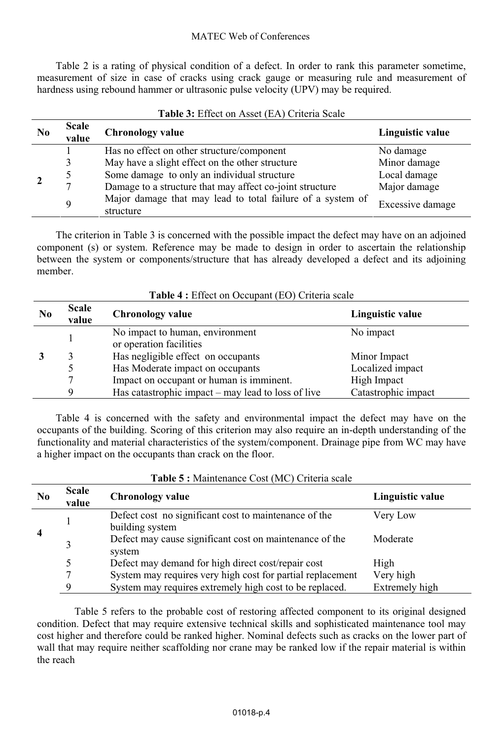Table 2 is a rating of physical condition of a defect. In order to rank this parameter sometime, measurement of size in case of cracks using crack gauge or measuring rule and measurement of hardness using rebound hammer or ultrasonic pulse velocity (UPV) may be required.

| N <sub>0</sub> | <b>Scale</b><br>value | <b>Chronology value</b>                                                 | Linguistic value |
|----------------|-----------------------|-------------------------------------------------------------------------|------------------|
|                |                       | Has no effect on other structure/component                              | No damage        |
|                | 3                     | May have a slight effect on the other structure                         | Minor damage     |
|                |                       | Some damage to only an individual structure                             | Local damage     |
|                |                       | Damage to a structure that may affect co-joint structure                | Major damage     |
|                | q                     | Major damage that may lead to total failure of a system of<br>structure | Excessive damage |

#### **Table 3:** Effect on Asset (EA) Criteria Scale

The criterion in Table 3 is concerned with the possible impact the defect may have on an adjoined component (s) or system. Reference may be made to design in order to ascertain the relationship between the system or components/structure that has already developed a defect and its adjoining member.

| N <sub>0</sub> | <b>Scale</b><br>value | Chronology value                                              | Linguistic value    |  |
|----------------|-----------------------|---------------------------------------------------------------|---------------------|--|
|                |                       | No impact to human, environment                               | No impact           |  |
|                | 3                     | or operation facilities<br>Has negligible effect on occupants | Minor Impact        |  |
|                | 5                     | Has Moderate impact on occupants                              | Localized impact    |  |
|                |                       | Impact on occupant or human is imminent.                      | High Impact         |  |
|                | 9                     | Has catastrophic impact $-$ may lead to loss of live          | Catastrophic impact |  |

#### **Table 4 :** Effect on Occupant (EO) Criteria scale

Table 4 is concerned with the safety and environmental impact the defect may have on the occupants of the building. Scoring of this criterion may also require an in-depth understanding of the functionality and material characteristics of the system/component. Drainage pipe from WC may have a higher impact on the occupants than crack on the floor.

| $\bf No$ | <b>Scale</b><br>value | <b>Chronology value</b>                                                  | Linguistic value |
|----------|-----------------------|--------------------------------------------------------------------------|------------------|
|          |                       | Defect cost no significant cost to maintenance of the<br>building system | Very Low         |
| 4        |                       | Defect may cause significant cost on maintenance of the<br>system        | Moderate         |
|          |                       | Defect may demand for high direct cost/repair cost                       | High             |
|          |                       | System may requires very high cost for partial replacement               | Very high        |
|          | Q                     | System may requires extremely high cost to be replaced.                  | Extremely high   |

### **Table 5 :** Maintenance Cost (MC) Criteria scale

Table 5 refers to the probable cost of restoring affected component to its original designed condition. Defect that may require extensive technical skills and sophisticated maintenance tool may cost higher and therefore could be ranked higher. Nominal defects such as cracks on the lower part of wall that may require neither scaffolding nor crane may be ranked low if the repair material is within the reach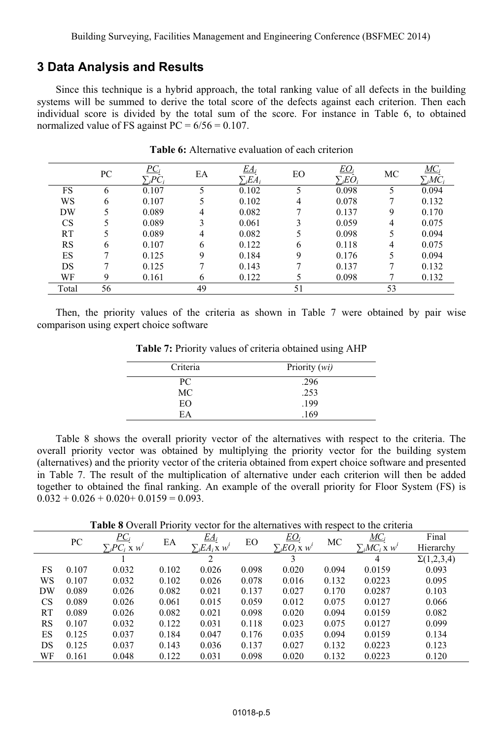### **3 Data Analysis and Results**

Since this technique is a hybrid approach, the total ranking value of all defects in the building systems will be summed to derive the total score of the defects against each criterion. Then each individual score is divided by the total sum of the score. For instance in Table 6, to obtained normalized value of FS against  $PC = 6/56 = 0.107$ .

|           | PC | $\underline{\mathit{PC}}_i$<br>$\Sigma_i PC_i$ | EA | $E A_i$<br>$E A_i$ | EO             | <u>EO,</u><br>$\sum_{i} \stackrel{F}{C_i}$ | MC | $MC_i$<br>$\sum_{i}MC_{i}$ |
|-----------|----|------------------------------------------------|----|--------------------|----------------|--------------------------------------------|----|----------------------------|
| FS        | 6  | 0.107                                          | 5  | 0.102              | 5              | 0.098                                      |    | 0.094                      |
| WS        | 6  | 0.107                                          | 5  | 0.102              | $\overline{4}$ | 0.078                                      |    | 0.132                      |
| DW        |    | 0.089                                          | 4  | 0.082              | 7              | 0.137                                      | 9  | 0.170                      |
| CS        |    | 0.089                                          | 3  | 0.061              | 3              | 0.059                                      | 4  | 0.075                      |
| <b>RT</b> |    | 0.089                                          | 4  | 0.082              | 5              | 0.098                                      |    | 0.094                      |
| RS        | 6  | 0.107                                          | 6  | 0.122              | 6              | 0.118                                      | 4  | 0.075                      |
| ES        | ⇁  | 0.125                                          | 9  | 0.184              | 9              | 0.176                                      |    | 0.094                      |
| DS        |    | 0.125                                          | 7  | 0.143              | 7              | 0.137                                      | 7  | 0.132                      |
| WF        | 9  | 0.161                                          | 6  | 0.122              |                | 0.098                                      |    | 0.132                      |
| Total     | 56 |                                                | 49 |                    | 51             |                                            | 53 |                            |

**Table 6:** Alternative evaluation of each criterion

Then, the priority values of the criteria as shown in Table 7 were obtained by pair wise comparison using expert choice software

| Criteria  | Priority (wi) |  |  |  |
|-----------|---------------|--|--|--|
| PC        | .296          |  |  |  |
| <b>MC</b> | .253          |  |  |  |
| EO        | .199          |  |  |  |
| EΑ        | .169          |  |  |  |

**Table 7:** Priority values of criteria obtained using AHP

Table 8 shows the overall priority vector of the alternatives with respect to the criteria. The overall priority vector was obtained by multiplying the priority vector for the building system (alternatives) and the priority vector of the criteria obtained from expert choice software and presented in Table 7. The result of the multiplication of alternative under each criterion will then be added together to obtained the final ranking. An example of the overall priority for Floor System (FS) is  $0.032 + 0.026 + 0.020 + 0.0159 = 0.093$ .

**Table 8** Overall Priority vector for the alternatives with respect to the criteria

|           | PC    | $PC_i$                        | EA    | $EA_i$                   | EO    | $\underline{EO}_i$                          | MC    | $\underline{MC}_i$            | Final             |
|-----------|-------|-------------------------------|-------|--------------------------|-------|---------------------------------------------|-------|-------------------------------|-------------------|
|           |       | $\sum_{i}PC_{i} \times w^{i}$ |       | $\sum_{i} E A_i \ge w^i$ |       | $\sum_{i}$ EO <sub>i</sub> x w <sup>1</sup> |       | $\sum_{i}MC_{i} \times w^{i}$ | Hierarchy         |
|           |       |                               |       | 2                        |       | 3                                           |       | 4                             | $\Sigma(1,2,3,4)$ |
| FS        | 0.107 | 0.032                         | 0.102 | 0.026                    | 0.098 | 0.020                                       | 0.094 | 0.0159                        | 0.093             |
| WS        | 0.107 | 0.032                         | 0.102 | 0.026                    | 0.078 | 0.016                                       | 0.132 | 0.0223                        | 0.095             |
| DW        | 0.089 | 0.026                         | 0.082 | 0.021                    | 0.137 | 0.027                                       | 0.170 | 0.0287                        | 0.103             |
| <b>CS</b> | 0.089 | 0.026                         | 0.061 | 0.015                    | 0.059 | 0.012                                       | 0.075 | 0.0127                        | 0.066             |
| <b>RT</b> | 0.089 | 0.026                         | 0.082 | 0.021                    | 0.098 | 0.020                                       | 0.094 | 0.0159                        | 0.082             |
| RS        | 0.107 | 0.032                         | 0.122 | 0.031                    | 0.118 | 0.023                                       | 0.075 | 0.0127                        | 0.099             |
| <b>ES</b> | 0.125 | 0.037                         | 0.184 | 0.047                    | 0.176 | 0.035                                       | 0.094 | 0.0159                        | 0.134             |
| DS        | 0.125 | 0.037                         | 0.143 | 0.036                    | 0.137 | 0.027                                       | 0.132 | 0.0223                        | 0.123             |
| WF        | 0.161 | 0.048                         | 0.122 | 0.031                    | 0.098 | 0.020                                       | 0.132 | 0.0223                        | 0.120             |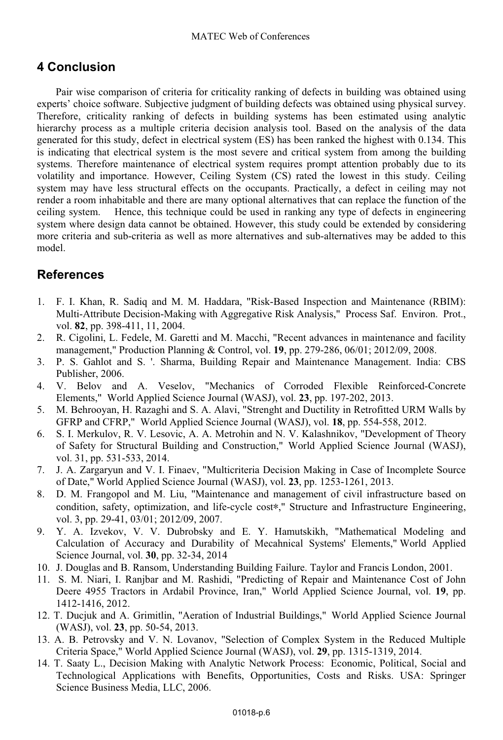## **4 Conclusion**

Pair wise comparison of criteria for criticality ranking of defects in building was obtained using experts' choice software. Subjective judgment of building defects was obtained using physical survey. Therefore, criticality ranking of defects in building systems has been estimated using analytic hierarchy process as a multiple criteria decision analysis tool. Based on the analysis of the data generated for this study, defect in electrical system (ES) has been ranked the highest with 0.134. This is indicating that electrical system is the most severe and critical system from among the building systems. Therefore maintenance of electrical system requires prompt attention probably due to its volatility and importance. However, Ceiling System (CS) rated the lowest in this study. Ceiling system may have less structural effects on the occupants. Practically, a defect in ceiling may not render a room inhabitable and there are many optional alternatives that can replace the function of the ceiling system. Hence, this technique could be used in ranking any type of defects in engineering system where design data cannot be obtained. However, this study could be extended by considering more criteria and sub-criteria as well as more alternatives and sub-alternatives may be added to this model.

## **References**

- 1. F. I. Khan, R. Sadiq and M. M. Haddara, "Risk-Based Inspection and Maintenance (RBIM): Multi-Attribute Decision-Making with Aggregative Risk Analysis," Process Saf. Environ. Prot., vol. **82**, pp. 398-411, 11, 2004.
- 2. R. Cigolini, L. Fedele, M. Garetti and M. Macchi, "Recent advances in maintenance and facility management," Production Planning & Control, vol. **19**, pp. 279-286, 06/01; 2012/09, 2008.
- 3. P. S. Gahlot and S. '. Sharma, Building Repair and Maintenance Management. India: CBS Publisher, 2006.
- 4. V. Belov and A. Veselov, "Mechanics of Corroded Flexible Reinforced-Concrete Elements," World Applied Science Journal (WASJ), vol. **23**, pp. 197-202, 2013.
- 5. M. Behrooyan, H. Razaghi and S. A. Alavi, "Strenght and Ductility in Retrofitted URM Walls by GFRP and CFRP," World Applied Science Journal (WASJ), vol. **18**, pp. 554-558, 2012.
- 6. S. I. Merkulov, R. V. Lesovic, A. A. Metrohin and N. V. Kalashnikov, "Development of Theory of Safety for Structural Building and Construction," World Applied Science Journal (WASJ), vol. 31, pp. 531-533, 2014.
- 7. J. A. Zargaryun and V. I. Finaev, "Multicriteria Decision Making in Case of Incomplete Source of Date," World Applied Science Journal (WASJ), vol. **23**, pp. 1253-1261, 2013.
- 8. D. M. Frangopol and M. Liu, "Maintenance and management of civil infrastructure based on condition, safety, optimization, and life-cycle cost\*," Structure and Infrastructure Engineering, vol. 3, pp. 29-41, 03/01; 2012/09, 2007.
- 9. Y. A. Izvekov, V. V. Dubrobsky and E. Y. Hamutskikh, "Mathematical Modeling and Calculation of Accuracy and Durability of Mecahnical Systems' Elements," World Applied Science Journal, vol. **30**, pp. 32-34, 2014
- 10. J. Douglas and B. Ransom, Understanding Building Failure. Taylor and Francis London, 2001.
- 11. S. M. Niari, I. Ranjbar and M. Rashidi, "Predicting of Repair and Maintenance Cost of John Deere 4955 Tractors in Ardabil Province, Iran," World Applied Science Journal, vol. **19**, pp. 1412-1416, 2012.
- 12. T. Ducjuk and A. Grimitlin, "Aeration of Industrial Buildings," World Applied Science Journal (WASJ), vol. **23**, pp. 50-54, 2013.
- 13. A. B. Petrovsky and V. N. Lovanov, "Selection of Complex System in the Reduced Multiple Criteria Space," World Applied Science Journal (WASJ), vol. **29**, pp. 1315-1319, 2014.
- 14. T. Saaty L., Decision Making with Analytic Network Process: Economic, Political, Social and Technological Applications with Benefits, Opportunities, Costs and Risks. USA: Springer Science Business Media, LLC, 2006.